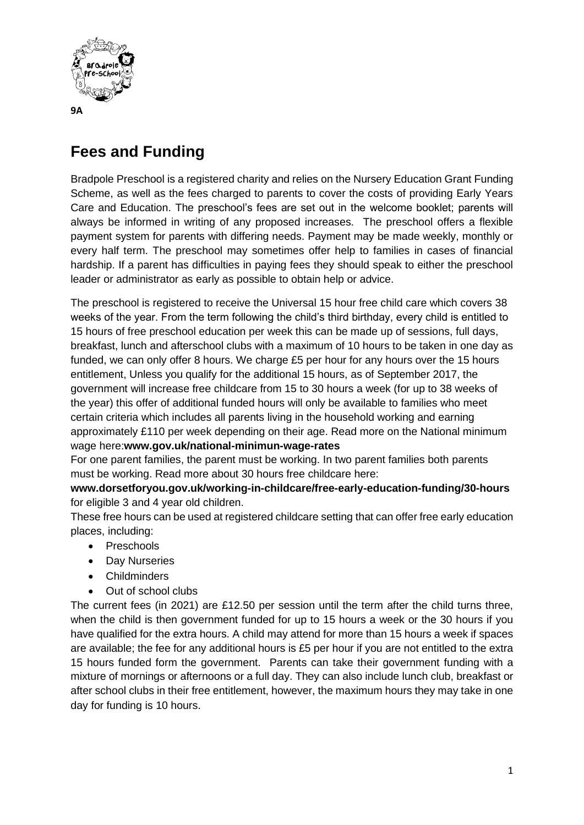

## **Fees and Funding**

Bradpole Preschool is a registered charity and relies on the Nursery Education Grant Funding Scheme, as well as the fees charged to parents to cover the costs of providing Early Years Care and Education. The preschool's fees are set out in the welcome booklet; parents will always be informed in writing of any proposed increases. The preschool offers a flexible payment system for parents with differing needs. Payment may be made weekly, monthly or every half term. The preschool may sometimes offer help to families in cases of financial hardship. If a parent has difficulties in paying fees they should speak to either the preschool leader or administrator as early as possible to obtain help or advice.

The preschool is registered to receive the Universal 15 hour free child care which covers 38 weeks of the year. From the term following the child's third birthday, every child is entitled to 15 hours of free preschool education per week this can be made up of sessions, full days, breakfast, lunch and afterschool clubs with a maximum of 10 hours to be taken in one day as funded, we can only offer 8 hours. We charge £5 per hour for any hours over the 15 hours entitlement, Unless you qualify for the additional 15 hours, as of September 2017, the government will increase free childcare from 15 to 30 hours a week (for up to 38 weeks of the year) this offer of additional funded hours will only be available to families who meet certain criteria which includes all parents living in the household working and earning approximately £110 per week depending on their age. Read more on the National minimum wage here:**www.gov.uk/national-minimun-wage-rates**

For one parent families, the parent must be working. In two parent families both parents must be working. Read more about 30 hours free childcare here:

**www.dorsetforyou.gov.uk/working-in-childcare/free-early-education-funding/30-hours** for eligible 3 and 4 year old children.

These free hours can be used at registered childcare setting that can offer free early education places, including:

- Preschools
- Day Nurseries
- Childminders
- Out of school clubs

The current fees (in 2021) are £12.50 per session until the term after the child turns three, when the child is then government funded for up to 15 hours a week or the 30 hours if you have qualified for the extra hours. A child may attend for more than 15 hours a week if spaces are available; the fee for any additional hours is £5 per hour if you are not entitled to the extra 15 hours funded form the government. Parents can take their government funding with a mixture of mornings or afternoons or a full day. They can also include lunch club, breakfast or after school clubs in their free entitlement, however, the maximum hours they may take in one day for funding is 10 hours.